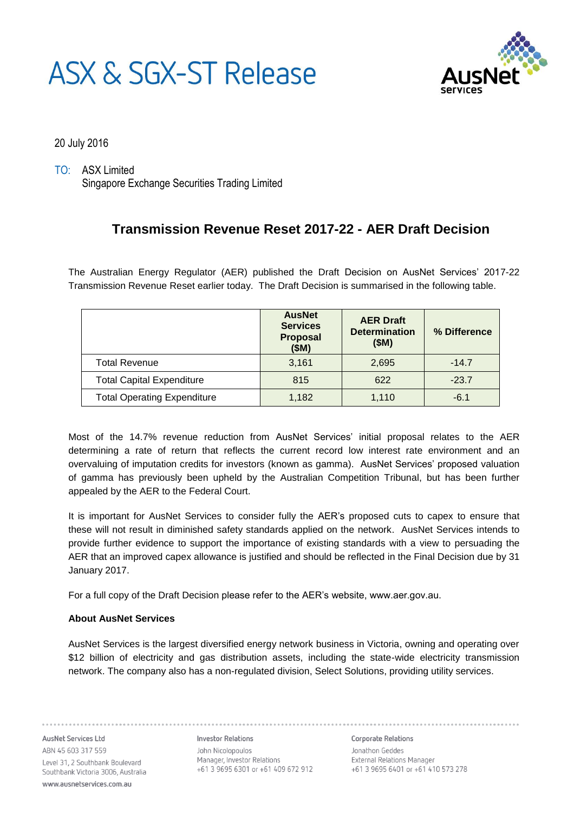# ASX & SGX-ST Release



20 July 2016

TO: ASX Limited Singapore Exchange Securities Trading Limited

## **Transmission Revenue Reset 2017-22 - AER Draft Decision**

The Australian Energy Regulator (AER) published the Draft Decision on AusNet Services' 2017-22 Transmission Revenue Reset earlier today. The Draft Decision is summarised in the following table.

|                                    | <b>AusNet</b><br><b>Services</b><br>Proposal<br>(SM) | <b>AER Draft</b><br><b>Determination</b><br>(SM) | % Difference |
|------------------------------------|------------------------------------------------------|--------------------------------------------------|--------------|
| <b>Total Revenue</b>               | 3,161                                                | 2,695                                            | $-14.7$      |
| <b>Total Capital Expenditure</b>   | 815                                                  | 622                                              | $-23.7$      |
| <b>Total Operating Expenditure</b> | 1,182                                                | 1,110                                            | $-6.1$       |

Most of the 14.7% revenue reduction from AusNet Services' initial proposal relates to the AER determining a rate of return that reflects the current record low interest rate environment and an overvaluing of imputation credits for investors (known as gamma). AusNet Services' proposed valuation of gamma has previously been upheld by the Australian Competition Tribunal, but has been further appealed by the AER to the Federal Court.

It is important for AusNet Services to consider fully the AER's proposed cuts to capex to ensure that these will not result in diminished safety standards applied on the network. AusNet Services intends to provide further evidence to support the importance of existing standards with a view to persuading the AER that an improved capex allowance is justified and should be reflected in the Final Decision due by 31 January 2017.

For a full copy of the Draft Decision please refer to the AER's website, www.aer.gov.au.

### **About AusNet Services**

AusNet Services is the largest diversified energy network business in Victoria, owning and operating over \$12 billion of electricity and gas distribution assets, including the state-wide electricity transmission network. The company also has a non-regulated division, Select Solutions, providing utility services.

AusNet Services Ltd ABN 45 603 317 559 Level 31, 2 Southbank Boulevard Southbank Victoria 3006, Australia www.ausnetservices.com.au

**Investor Relations** John Nicolopoulos +61 3 9695 6301 or +61 409 672 912

**Corporate Relations** Jonathon Geddes External Relations Manager +61 3 9695 6401 or +61 410 573 278